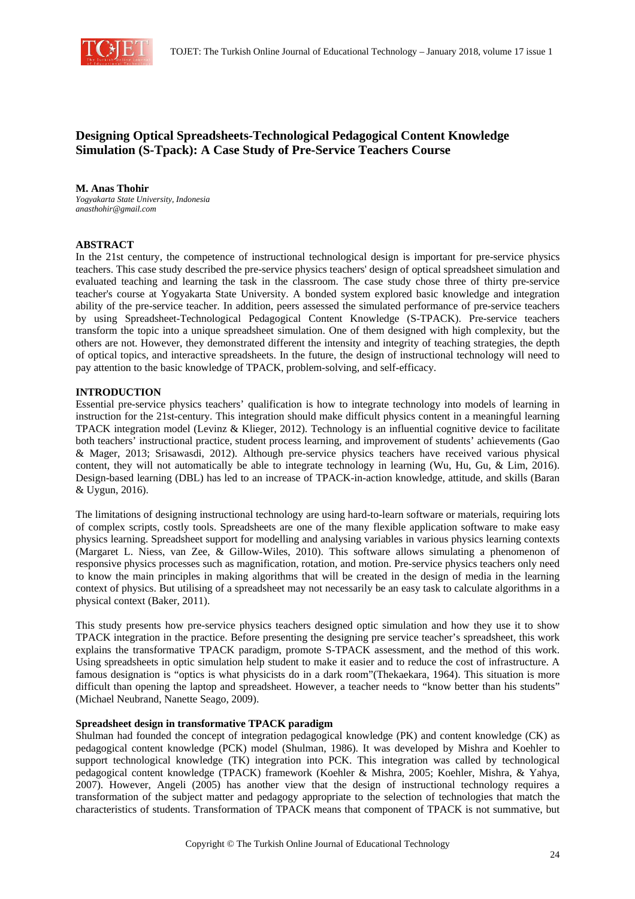

# **Designing Optical Spreadsheets-Technological Pedagogical Content Knowledge Simulation (S-Tpack): A Case Study of Pre-Service Teachers Course**

## **M. Anas Thohir**

*Yogyakarta State University, Indonesia anasthohir@gmail.com* 

# **ABSTRACT**

In the 21st century, the competence of instructional technological design is important for pre-service physics teachers. This case study described the pre-service physics teachers' design of optical spreadsheet simulation and evaluated teaching and learning the task in the classroom. The case study chose three of thirty pre-service teacher's course at Yogyakarta State University. A bonded system explored basic knowledge and integration ability of the pre-service teacher. In addition, peers assessed the simulated performance of pre-service teachers by using Spreadsheet-Technological Pedagogical Content Knowledge (S-TPACK). Pre-service teachers transform the topic into a unique spreadsheet simulation. One of them designed with high complexity, but the others are not. However, they demonstrated different the intensity and integrity of teaching strategies, the depth of optical topics, and interactive spreadsheets. In the future, the design of instructional technology will need to pay attention to the basic knowledge of TPACK, problem-solving, and self-efficacy.

## **INTRODUCTION**

Essential pre-service physics teachers' qualification is how to integrate technology into models of learning in instruction for the 21st-century. This integration should make difficult physics content in a meaningful learning TPACK integration model (Levinz & Klieger, 2012). Technology is an influential cognitive device to facilitate both teachers' instructional practice, student process learning, and improvement of students' achievements (Gao & Mager, 2013; Srisawasdi, 2012). Although pre-service physics teachers have received various physical content, they will not automatically be able to integrate technology in learning (Wu, Hu, Gu, & Lim, 2016). Design-based learning (DBL) has led to an increase of TPACK-in-action knowledge, attitude, and skills (Baran & Uygun, 2016).

The limitations of designing instructional technology are using hard-to-learn software or materials, requiring lots of complex scripts, costly tools. Spreadsheets are one of the many flexible application software to make easy physics learning. Spreadsheet support for modelling and analysing variables in various physics learning contexts (Margaret L. Niess, van Zee, & Gillow-Wiles, 2010). This software allows simulating a phenomenon of responsive physics processes such as magnification, rotation, and motion. Pre-service physics teachers only need to know the main principles in making algorithms that will be created in the design of media in the learning context of physics. But utilising of a spreadsheet may not necessarily be an easy task to calculate algorithms in a physical context (Baker, 2011).

This study presents how pre-service physics teachers designed optic simulation and how they use it to show TPACK integration in the practice. Before presenting the designing pre service teacher's spreadsheet, this work explains the transformative TPACK paradigm, promote S-TPACK assessment, and the method of this work. Using spreadsheets in optic simulation help student to make it easier and to reduce the cost of infrastructure. A famous designation is "optics is what physicists do in a dark room"(Thekaekara, 1964). This situation is more difficult than opening the laptop and spreadsheet. However, a teacher needs to "know better than his students" (Michael Neubrand, Nanette Seago, 2009).

#### **Spreadsheet design in transformative TPACK paradigm**

Shulman had founded the concept of integration pedagogical knowledge (PK) and content knowledge (CK) as pedagogical content knowledge (PCK) model (Shulman, 1986). It was developed by Mishra and Koehler to support technological knowledge (TK) integration into PCK. This integration was called by technological pedagogical content knowledge (TPACK) framework (Koehler & Mishra, 2005; Koehler, Mishra, & Yahya, 2007). However, Angeli (2005) has another view that the design of instructional technology requires a transformation of the subject matter and pedagogy appropriate to the selection of technologies that match the characteristics of students. Transformation of TPACK means that component of TPACK is not summative, but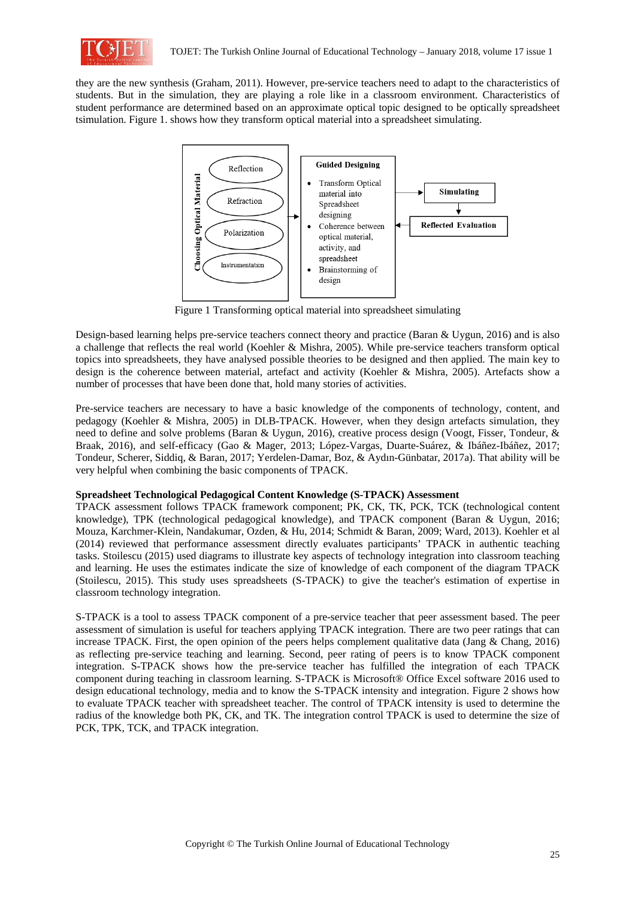

they are the new synthesis (Graham, 2011). However, pre-service teachers need to adapt to the characteristics of students. But in the simulation, they are playing a role like in a classroom environment. Characteristics of student performance are determined based on an approximate optical topic designed to be optically spreadsheet tsimulation. Figure 1. shows how they transform optical material into a spreadsheet simulating.



Figure 1 Transforming optical material into spreadsheet simulating

Design-based learning helps pre-service teachers connect theory and practice (Baran & Uygun, 2016) and is also a challenge that reflects the real world (Koehler & Mishra, 2005). While pre-service teachers transform optical topics into spreadsheets, they have analysed possible theories to be designed and then applied. The main key to design is the coherence between material, artefact and activity (Koehler & Mishra, 2005). Artefacts show a number of processes that have been done that, hold many stories of activities.

Pre-service teachers are necessary to have a basic knowledge of the components of technology, content, and pedagogy (Koehler & Mishra, 2005) in DLB-TPACK. However, when they design artefacts simulation, they need to define and solve problems (Baran & Uygun, 2016), creative process design (Voogt, Fisser, Tondeur, & Braak, 2016), and self-efficacy (Gao & Mager, 2013; López-Vargas, Duarte-Suárez, & Ibáñez-Ibáñez, 2017; Tondeur, Scherer, Siddiq, & Baran, 2017; Yerdelen-Damar, Boz, & Aydın-Günbatar, 2017a). That ability will be very helpful when combining the basic components of TPACK.

# **Spreadsheet Technological Pedagogical Content Knowledge (S-TPACK) Assessment**

TPACK assessment follows TPACK framework component; PK, CK, TK, PCK, TCK (technological content knowledge), TPK (technological pedagogical knowledge), and TPACK component (Baran & Uygun, 2016; Mouza, Karchmer-Klein, Nandakumar, Ozden, & Hu, 2014; Schmidt & Baran, 2009; Ward, 2013). Koehler et al (2014) reviewed that performance assessment directly evaluates participants' TPACK in authentic teaching tasks. Stoilescu (2015) used diagrams to illustrate key aspects of technology integration into classroom teaching and learning. He uses the estimates indicate the size of knowledge of each component of the diagram TPACK (Stoilescu, 2015). This study uses spreadsheets (S-TPACK) to give the teacher's estimation of expertise in classroom technology integration.

S-TPACK is a tool to assess TPACK component of a pre-service teacher that peer assessment based. The peer assessment of simulation is useful for teachers applying TPACK integration. There are two peer ratings that can increase TPACK. First, the open opinion of the peers helps complement qualitative data (Jang & Chang, 2016) as reflecting pre-service teaching and learning. Second, peer rating of peers is to know TPACK component integration. S-TPACK shows how the pre-service teacher has fulfilled the integration of each TPACK component during teaching in classroom learning. S-TPACK is Microsoft® Office Excel software 2016 used to design educational technology, media and to know the S-TPACK intensity and integration. Figure 2 shows how to evaluate TPACK teacher with spreadsheet teacher. The control of TPACK intensity is used to determine the radius of the knowledge both PK, CK, and TK. The integration control TPACK is used to determine the size of PCK, TPK, TCK, and TPACK integration.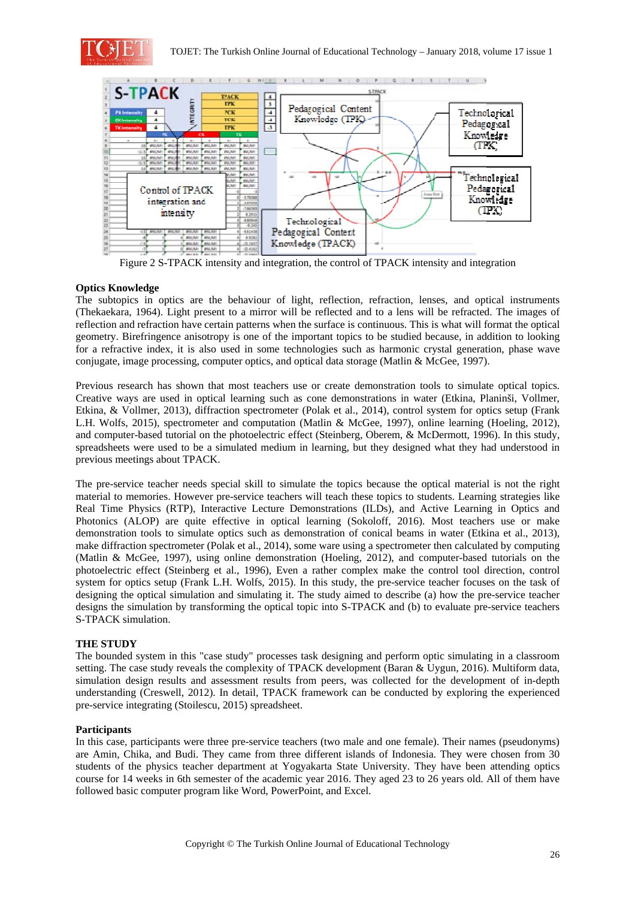



Figure 2 S-TPACK intensity and integration, the control of TPACK intensity and integration

# **Optics Knowledge**

The subtopics in optics are the behaviour of light, reflection, refraction, lenses, and optical instruments (Thekaekara, 1964). Light present to a mirror will be reflected and to a lens will be refracted. The images of reflection and refraction have certain patterns when the surface is continuous. This is what will format the optical geometry. Birefringence anisotropy is one of the important topics to be studied because, in addition to looking for a refractive index, it is also used in some technologies such as harmonic crystal generation, phase wave conjugate, image processing, computer optics, and optical data storage (Matlin & McGee, 1997).

Previous research has shown that most teachers use or create demonstration tools to simulate optical topics. Creative ways are used in optical learning such as cone demonstrations in water (Etkina, Planinši, Vollmer, Etkina, & Vollmer, 2013), diffraction spectrometer (Polak et al., 2014), control system for optics setup (Frank L.H. Wolfs, 2015), spectrometer and computation (Matlin & McGee, 1997), online learning (Hoeling, 2012), and computer-based tutorial on the photoelectric effect (Steinberg, Oberem, & McDermott, 1996). In this study, spreadsheets were used to be a simulated medium in learning, but they designed what they had understood in previous meetings about TPACK.

The pre-service teacher needs special skill to simulate the topics because the optical material is not the right material to memories. However pre-service teachers will teach these topics to students. Learning strategies like Real Time Physics (RTP), Interactive Lecture Demonstrations (ILDs), and Active Learning in Optics and Photonics (ALOP) are quite effective in optical learning (Sokoloff, 2016). Most teachers use or make demonstration tools to simulate optics such as demonstration of conical beams in water (Etkina et al., 2013), make diffraction spectrometer (Polak et al., 2014), some ware using a spectrometer then calculated by computing (Matlin & McGee, 1997), using online demonstration (Hoeling, 2012), and computer-based tutorials on the photoelectric effect (Steinberg et al., 1996), Even a rather complex make the control tool direction, control system for optics setup (Frank L.H. Wolfs, 2015). In this study, the pre-service teacher focuses on the task of designing the optical simulation and simulating it. The study aimed to describe (a) how the pre-service teacher designs the simulation by transforming the optical topic into S-TPACK and (b) to evaluate pre-service teachers S-TPACK simulation.

# **THE STUDY**

The bounded system in this "case study" processes task designing and perform optic simulating in a classroom setting. The case study reveals the complexity of TPACK development (Baran & Uygun, 2016). Multiform data, simulation design results and assessment results from peers, was collected for the development of in-depth understanding (Creswell, 2012). In detail, TPACK framework can be conducted by exploring the experienced pre-service integrating (Stoilescu, 2015) spreadsheet.

# **Participants**

In this case, participants were three pre-service teachers (two male and one female). Their names (pseudonyms) are Amin, Chika, and Budi. They came from three different islands of Indonesia. They were chosen from 30 students of the physics teacher department at Yogyakarta State University. They have been attending optics course for 14 weeks in 6th semester of the academic year 2016. They aged 23 to 26 years old. All of them have followed basic computer program like Word, PowerPoint, and Excel.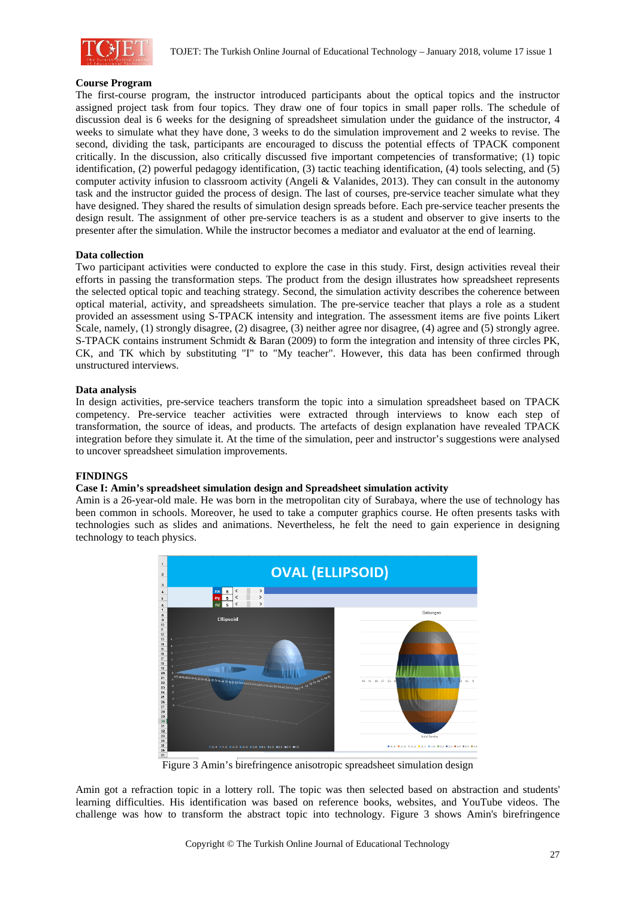

## **Course Program**

The first-course program, the instructor introduced participants about the optical topics and the instructor assigned project task from four topics. They draw one of four topics in small paper rolls. The schedule of discussion deal is 6 weeks for the designing of spreadsheet simulation under the guidance of the instructor, 4 weeks to simulate what they have done, 3 weeks to do the simulation improvement and 2 weeks to revise. The second, dividing the task, participants are encouraged to discuss the potential effects of TPACK component critically. In the discussion, also critically discussed five important competencies of transformative; (1) topic identification, (2) powerful pedagogy identification, (3) tactic teaching identification, (4) tools selecting, and (5) computer activity infusion to classroom activity (Angeli & Valanides, 2013). They can consult in the autonomy task and the instructor guided the process of design. The last of courses, pre-service teacher simulate what they have designed. They shared the results of simulation design spreads before. Each pre-service teacher presents the design result. The assignment of other pre-service teachers is as a student and observer to give inserts to the presenter after the simulation. While the instructor becomes a mediator and evaluator at the end of learning.

## **Data collection**

Two participant activities were conducted to explore the case in this study. First, design activities reveal their efforts in passing the transformation steps. The product from the design illustrates how spreadsheet represents the selected optical topic and teaching strategy. Second, the simulation activity describes the coherence between optical material, activity, and spreadsheets simulation. The pre-service teacher that plays a role as a student provided an assessment using S-TPACK intensity and integration. The assessment items are five points Likert Scale, namely, (1) strongly disagree, (2) disagree, (3) neither agree nor disagree, (4) agree and (5) strongly agree. S-TPACK contains instrument Schmidt & Baran (2009) to form the integration and intensity of three circles PK, CK, and TK which by substituting "I" to "My teacher". However, this data has been confirmed through unstructured interviews.

#### **Data analysis**

In design activities, pre-service teachers transform the topic into a simulation spreadsheet based on TPACK competency. Pre-service teacher activities were extracted through interviews to know each step of transformation, the source of ideas, and products. The artefacts of design explanation have revealed TPACK integration before they simulate it. At the time of the simulation, peer and instructor's suggestions were analysed to uncover spreadsheet simulation improvements.

#### **FINDINGS**

## **Case I: Amin's spreadsheet simulation design and Spreadsheet simulation activity**

Amin is a 26-year-old male. He was born in the metropolitan city of Surabaya, where the use of technology has been common in schools. Moreover, he used to take a computer graphics course. He often presents tasks with technologies such as slides and animations. Nevertheless, he felt the need to gain experience in designing technology to teach physics.



Figure 3 Amin's birefringence anisotropic spreadsheet simulation design

Amin got a refraction topic in a lottery roll. The topic was then selected based on abstraction and students' learning difficulties. His identification was based on reference books, websites, and YouTube videos. The challenge was how to transform the abstract topic into technology. Figure 3 shows Amin's birefringence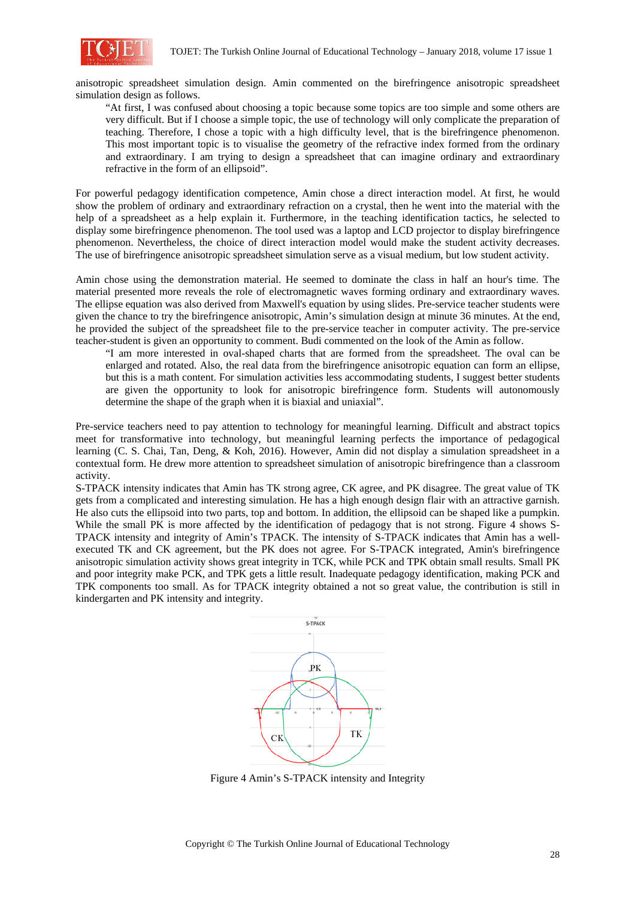

anisotropic spreadsheet simulation design. Amin commented on the birefringence anisotropic spreadsheet simulation design as follows.

"At first, I was confused about choosing a topic because some topics are too simple and some others are very difficult. But if I choose a simple topic, the use of technology will only complicate the preparation of teaching. Therefore, I chose a topic with a high difficulty level, that is the birefringence phenomenon. This most important topic is to visualise the geometry of the refractive index formed from the ordinary and extraordinary. I am trying to design a spreadsheet that can imagine ordinary and extraordinary refractive in the form of an ellipsoid".

For powerful pedagogy identification competence, Amin chose a direct interaction model. At first, he would show the problem of ordinary and extraordinary refraction on a crystal, then he went into the material with the help of a spreadsheet as a help explain it. Furthermore, in the teaching identification tactics, he selected to display some birefringence phenomenon. The tool used was a laptop and LCD projector to display birefringence phenomenon. Nevertheless, the choice of direct interaction model would make the student activity decreases. The use of birefringence anisotropic spreadsheet simulation serve as a visual medium, but low student activity.

Amin chose using the demonstration material. He seemed to dominate the class in half an hour's time. The material presented more reveals the role of electromagnetic waves forming ordinary and extraordinary waves. The ellipse equation was also derived from Maxwell's equation by using slides. Pre-service teacher students were given the chance to try the birefringence anisotropic, Amin's simulation design at minute 36 minutes. At the end, he provided the subject of the spreadsheet file to the pre-service teacher in computer activity. The pre-service teacher-student is given an opportunity to comment. Budi commented on the look of the Amin as follow.

"I am more interested in oval-shaped charts that are formed from the spreadsheet. The oval can be enlarged and rotated. Also, the real data from the birefringence anisotropic equation can form an ellipse, but this is a math content. For simulation activities less accommodating students, I suggest better students are given the opportunity to look for anisotropic birefringence form. Students will autonomously determine the shape of the graph when it is biaxial and uniaxial".

Pre-service teachers need to pay attention to technology for meaningful learning. Difficult and abstract topics meet for transformative into technology, but meaningful learning perfects the importance of pedagogical learning (C. S. Chai, Tan, Deng, & Koh, 2016). However, Amin did not display a simulation spreadsheet in a contextual form. He drew more attention to spreadsheet simulation of anisotropic birefringence than a classroom activity.

S-TPACK intensity indicates that Amin has TK strong agree, CK agree, and PK disagree. The great value of TK gets from a complicated and interesting simulation. He has a high enough design flair with an attractive garnish. He also cuts the ellipsoid into two parts, top and bottom. In addition, the ellipsoid can be shaped like a pumpkin. While the small PK is more affected by the identification of pedagogy that is not strong. Figure 4 shows S-TPACK intensity and integrity of Amin's TPACK. The intensity of S-TPACK indicates that Amin has a wellexecuted TK and CK agreement, but the PK does not agree. For S-TPACK integrated, Amin's birefringence anisotropic simulation activity shows great integrity in TCK, while PCK and TPK obtain small results. Small PK and poor integrity make PCK, and TPK gets a little result. Inadequate pedagogy identification, making PCK and TPK components too small. As for TPACK integrity obtained a not so great value, the contribution is still in kindergarten and PK intensity and integrity.



Figure 4 Amin's S-TPACK intensity and Integrity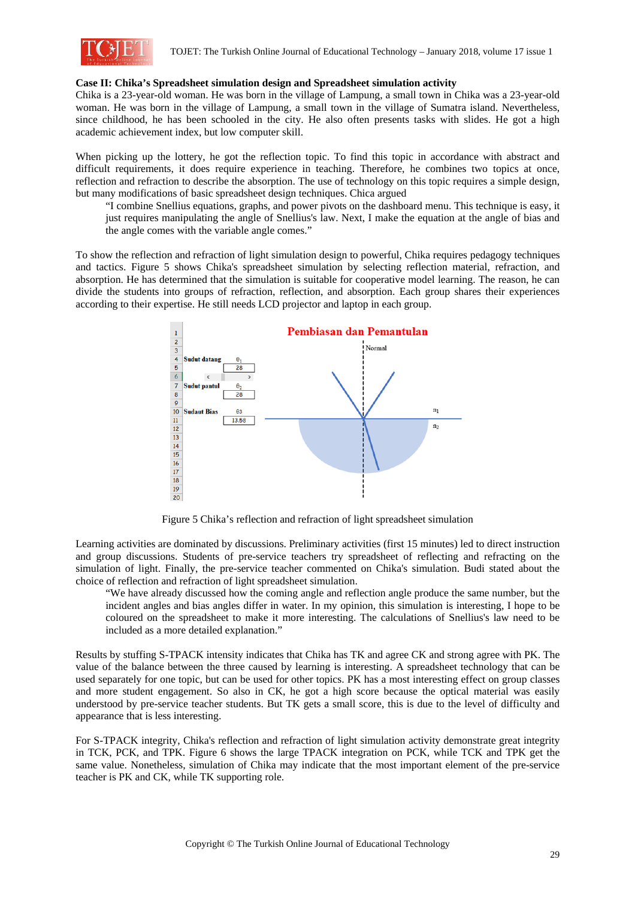

#### **Case II: Chika's Spreadsheet simulation design and Spreadsheet simulation activity**

Chika is a 23-year-old woman. He was born in the village of Lampung, a small town in Chika was a 23-year-old woman. He was born in the village of Lampung, a small town in the village of Sumatra island. Nevertheless, since childhood, he has been schooled in the city. He also often presents tasks with slides. He got a high academic achievement index, but low computer skill.

When picking up the lottery, he got the reflection topic. To find this topic in accordance with abstract and difficult requirements, it does require experience in teaching. Therefore, he combines two topics at once, reflection and refraction to describe the absorption. The use of technology on this topic requires a simple design, but many modifications of basic spreadsheet design techniques. Chica argued

"I combine Snellius equations, graphs, and power pivots on the dashboard menu. This technique is easy, it just requires manipulating the angle of Snellius's law. Next, I make the equation at the angle of bias and the angle comes with the variable angle comes."

To show the reflection and refraction of light simulation design to powerful, Chika requires pedagogy techniques and tactics. Figure 5 shows Chika's spreadsheet simulation by selecting reflection material, refraction, and absorption. He has determined that the simulation is suitable for cooperative model learning. The reason, he can divide the students into groups of refraction, reflection, and absorption. Each group shares their experiences according to their expertise. He still needs LCD projector and laptop in each group.



Figure 5 Chika's reflection and refraction of light spreadsheet simulation

Learning activities are dominated by discussions. Preliminary activities (first 15 minutes) led to direct instruction and group discussions. Students of pre-service teachers try spreadsheet of reflecting and refracting on the simulation of light. Finally, the pre-service teacher commented on Chika's simulation. Budi stated about the choice of reflection and refraction of light spreadsheet simulation.

"We have already discussed how the coming angle and reflection angle produce the same number, but the incident angles and bias angles differ in water. In my opinion, this simulation is interesting, I hope to be coloured on the spreadsheet to make it more interesting. The calculations of Snellius's law need to be included as a more detailed explanation."

Results by stuffing S-TPACK intensity indicates that Chika has TK and agree CK and strong agree with PK. The value of the balance between the three caused by learning is interesting. A spreadsheet technology that can be used separately for one topic, but can be used for other topics. PK has a most interesting effect on group classes and more student engagement. So also in CK, he got a high score because the optical material was easily understood by pre-service teacher students. But TK gets a small score, this is due to the level of difficulty and appearance that is less interesting.

For S-TPACK integrity, Chika's reflection and refraction of light simulation activity demonstrate great integrity in TCK, PCK, and TPK. Figure 6 shows the large TPACK integration on PCK, while TCK and TPK get the same value. Nonetheless, simulation of Chika may indicate that the most important element of the pre-service teacher is PK and CK, while TK supporting role.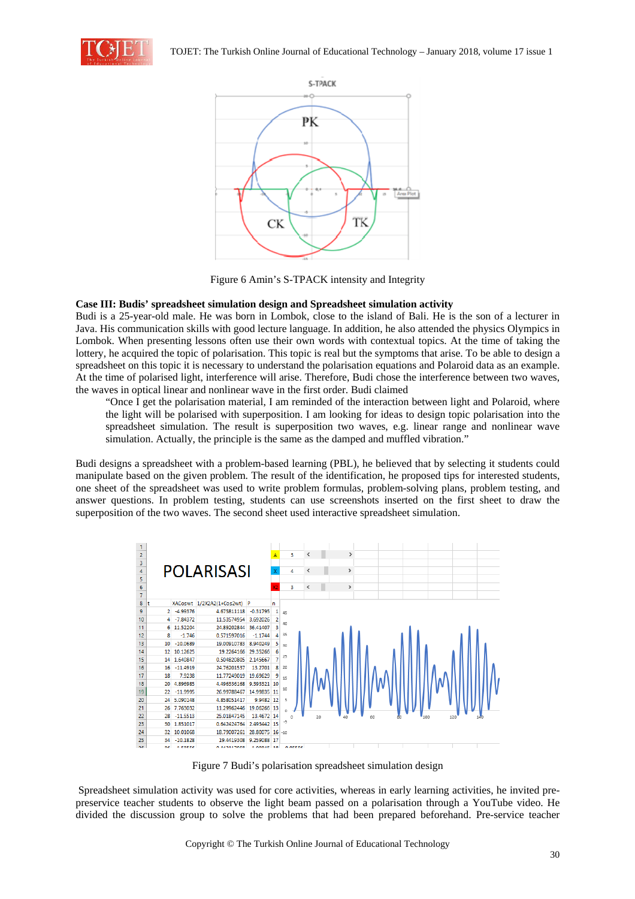



Figure 6 Amin's S-TPACK intensity and Integrity

# **Case III: Budis' spreadsheet simulation design and Spreadsheet simulation activity**

Budi is a 25-year-old male. He was born in Lombok, close to the island of Bali. He is the son of a lecturer in Java. His communication skills with good lecture language. In addition, he also attended the physics Olympics in Lombok. When presenting lessons often use their own words with contextual topics. At the time of taking the lottery, he acquired the topic of polarisation. This topic is real but the symptoms that arise. To be able to design a spreadsheet on this topic it is necessary to understand the polarisation equations and Polaroid data as an example. At the time of polarised light, interference will arise. Therefore, Budi chose the interference between two waves, the waves in optical linear and nonlinear wave in the first order. Budi claimed

"Once I get the polarisation material, I am reminded of the interaction between light and Polaroid, where the light will be polarised with superposition. I am looking for ideas to design topic polarisation into the spreadsheet simulation. The result is superposition two waves, e.g. linear range and nonlinear wave simulation. Actually, the principle is the same as the damped and muffled vibration."

Budi designs a spreadsheet with a problem-based learning (PBL), he believed that by selecting it students could manipulate based on the given problem. The result of the identification, he proposed tips for interested students, one sheet of the spreadsheet was used to write problem formulas, problem-solving plans, problem testing, and answer questions. In problem testing, students can use screenshots inserted on the first sheet to draw the superposition of the two waves. The second sheet used interactive spreadsheet simulation.



Figure 7 Budi's polarisation spreadsheet simulation design

 Spreadsheet simulation activity was used for core activities, whereas in early learning activities, he invited prepreservice teacher students to observe the light beam passed on a polarisation through a YouTube video. He divided the discussion group to solve the problems that had been prepared beforehand. Pre-service teacher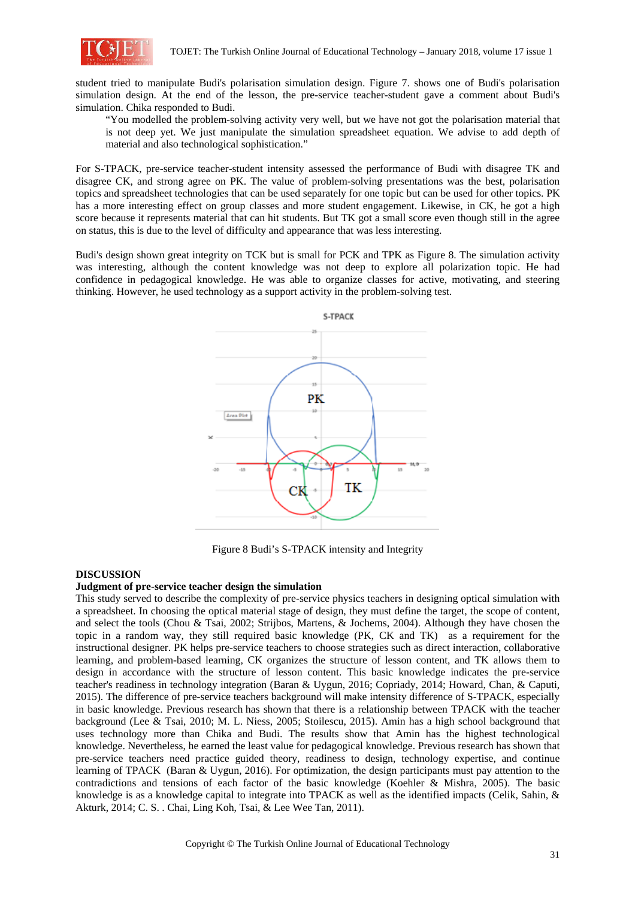

student tried to manipulate Budi's polarisation simulation design. Figure 7. shows one of Budi's polarisation simulation design. At the end of the lesson, the pre-service teacher-student gave a comment about Budi's simulation. Chika responded to Budi.

"You modelled the problem-solving activity very well, but we have not got the polarisation material that is not deep yet. We just manipulate the simulation spreadsheet equation. We advise to add depth of material and also technological sophistication."

For S-TPACK, pre-service teacher-student intensity assessed the performance of Budi with disagree TK and disagree CK, and strong agree on PK. The value of problem-solving presentations was the best, polarisation topics and spreadsheet technologies that can be used separately for one topic but can be used for other topics. PK has a more interesting effect on group classes and more student engagement. Likewise, in CK, he got a high score because it represents material that can hit students. But TK got a small score even though still in the agree on status, this is due to the level of difficulty and appearance that was less interesting.

Budi's design shown great integrity on TCK but is small for PCK and TPK as Figure 8. The simulation activity was interesting, although the content knowledge was not deep to explore all polarization topic. He had confidence in pedagogical knowledge. He was able to organize classes for active, motivating, and steering thinking. However, he used technology as a support activity in the problem-solving test.



Figure 8 Budi's S-TPACK intensity and Integrity

#### **DISCUSSION**

#### **Judgment of pre-service teacher design the simulation**

This study served to describe the complexity of pre-service physics teachers in designing optical simulation with a spreadsheet. In choosing the optical material stage of design, they must define the target, the scope of content, and select the tools (Chou & Tsai, 2002; Strijbos, Martens, & Jochems, 2004). Although they have chosen the topic in a random way, they still required basic knowledge (PK, CK and TK) as a requirement for the instructional designer. PK helps pre-service teachers to choose strategies such as direct interaction, collaborative learning, and problem-based learning, CK organizes the structure of lesson content, and TK allows them to design in accordance with the structure of lesson content. This basic knowledge indicates the pre-service teacher's readiness in technology integration (Baran & Uygun, 2016; Copriady, 2014; Howard, Chan, & Caputi, 2015). The difference of pre-service teachers background will make intensity difference of S-TPACK, especially in basic knowledge. Previous research has shown that there is a relationship between TPACK with the teacher background (Lee & Tsai, 2010; M. L. Niess, 2005; Stoilescu, 2015). Amin has a high school background that uses technology more than Chika and Budi. The results show that Amin has the highest technological knowledge. Nevertheless, he earned the least value for pedagogical knowledge. Previous research has shown that pre-service teachers need practice guided theory, readiness to design, technology expertise, and continue learning of TPACK (Baran & Uygun, 2016). For optimization, the design participants must pay attention to the contradictions and tensions of each factor of the basic knowledge (Koehler & Mishra, 2005). The basic knowledge is as a knowledge capital to integrate into TPACK as well as the identified impacts (Celik, Sahin, & Akturk, 2014; C. S. . Chai, Ling Koh, Tsai, & Lee Wee Tan, 2011).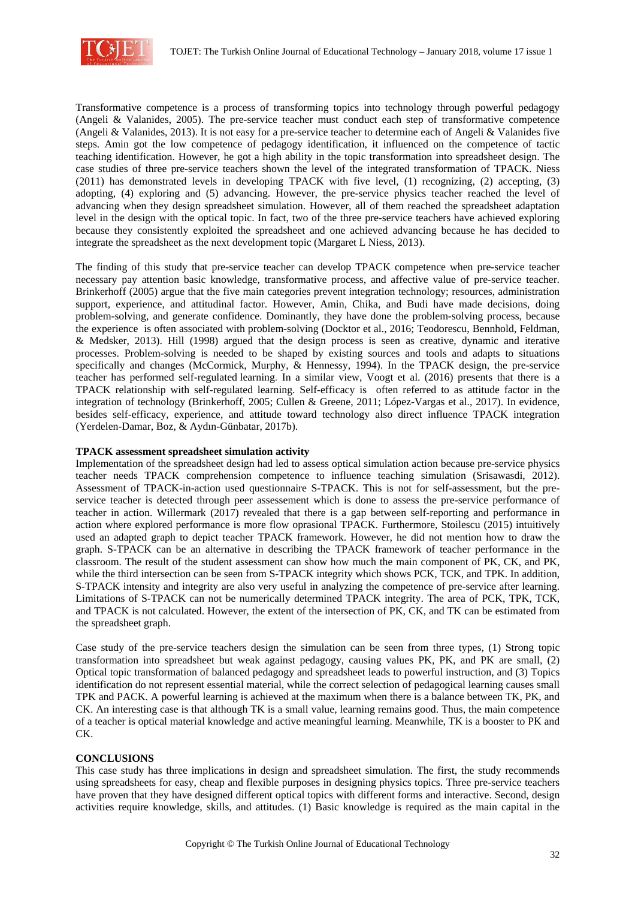

Transformative competence is a process of transforming topics into technology through powerful pedagogy (Angeli & Valanides, 2005). The pre-service teacher must conduct each step of transformative competence (Angeli & Valanides, 2013). It is not easy for a pre-service teacher to determine each of Angeli & Valanides five steps. Amin got the low competence of pedagogy identification, it influenced on the competence of tactic teaching identification. However, he got a high ability in the topic transformation into spreadsheet design. The case studies of three pre-service teachers shown the level of the integrated transformation of TPACK. Niess (2011) has demonstrated levels in developing TPACK with five level, (1) recognizing, (2) accepting, (3) adopting, (4) exploring and (5) advancing. However, the pre-service physics teacher reached the level of advancing when they design spreadsheet simulation. However, all of them reached the spreadsheet adaptation level in the design with the optical topic. In fact, two of the three pre-service teachers have achieved exploring because they consistently exploited the spreadsheet and one achieved advancing because he has decided to integrate the spreadsheet as the next development topic (Margaret L Niess, 2013).

The finding of this study that pre-service teacher can develop TPACK competence when pre-service teacher necessary pay attention basic knowledge, transformative process, and affective value of pre-service teacher. Brinkerhoff (2005) argue that the five main categories prevent integration technology; resources, administration support, experience, and attitudinal factor. However, Amin, Chika, and Budi have made decisions, doing problem-solving, and generate confidence. Dominantly, they have done the problem-solving process, because the experience is often associated with problem-solving (Docktor et al., 2016; Teodorescu, Bennhold, Feldman, & Medsker, 2013). Hill (1998) argued that the design process is seen as creative, dynamic and iterative processes. Problem-solving is needed to be shaped by existing sources and tools and adapts to situations specifically and changes (McCormick, Murphy, & Hennessy, 1994). In the TPACK design, the pre-service teacher has performed self-regulated learning. In a similar view, Voogt et al. (2016) presents that there is a TPACK relationship with self-regulated learning. Self-efficacy is often referred to as attitude factor in the integration of technology (Brinkerhoff, 2005; Cullen & Greene, 2011; López-Vargas et al., 2017). In evidence, besides self-efficacy, experience, and attitude toward technology also direct influence TPACK integration (Yerdelen-Damar, Boz, & Aydın-Günbatar, 2017b).

## **TPACK assessment spreadsheet simulation activity**

Implementation of the spreadsheet design had led to assess optical simulation action because pre-service physics teacher needs TPACK comprehension competence to influence teaching simulation (Srisawasdi, 2012). Assessment of TPACK-in-action used questionnaire S-TPACK. This is not for self-assessment, but the preservice teacher is detected through peer assessement which is done to assess the pre-service performance of teacher in action. Willermark (2017) revealed that there is a gap between self-reporting and performance in action where explored performance is more flow oprasional TPACK. Furthermore, Stoilescu (2015) intuitively used an adapted graph to depict teacher TPACK framework. However, he did not mention how to draw the graph. S-TPACK can be an alternative in describing the TPACK framework of teacher performance in the classroom. The result of the student assessment can show how much the main component of PK, CK, and PK, while the third intersection can be seen from S-TPACK integrity which shows PCK, TCK, and TPK. In addition, S-TPACK intensity and integrity are also very useful in analyzing the competence of pre-service after learning. Limitations of S-TPACK can not be numerically determined TPACK integrity. The area of PCK, TPK, TCK, and TPACK is not calculated. However, the extent of the intersection of PK, CK, and TK can be estimated from the spreadsheet graph.

Case study of the pre-service teachers design the simulation can be seen from three types, (1) Strong topic transformation into spreadsheet but weak against pedagogy, causing values PK, PK, and PK are small, (2) Optical topic transformation of balanced pedagogy and spreadsheet leads to powerful instruction, and (3) Topics identification do not represent essential material, while the correct selection of pedagogical learning causes small TPK and PACK. A powerful learning is achieved at the maximum when there is a balance between TK, PK, and CK. An interesting case is that although TK is a small value, learning remains good. Thus, the main competence of a teacher is optical material knowledge and active meaningful learning. Meanwhile, TK is a booster to PK and CK.

# **CONCLUSIONS**

This case study has three implications in design and spreadsheet simulation. The first, the study recommends using spreadsheets for easy, cheap and flexible purposes in designing physics topics. Three pre-service teachers have proven that they have designed different optical topics with different forms and interactive. Second, design activities require knowledge, skills, and attitudes. (1) Basic knowledge is required as the main capital in the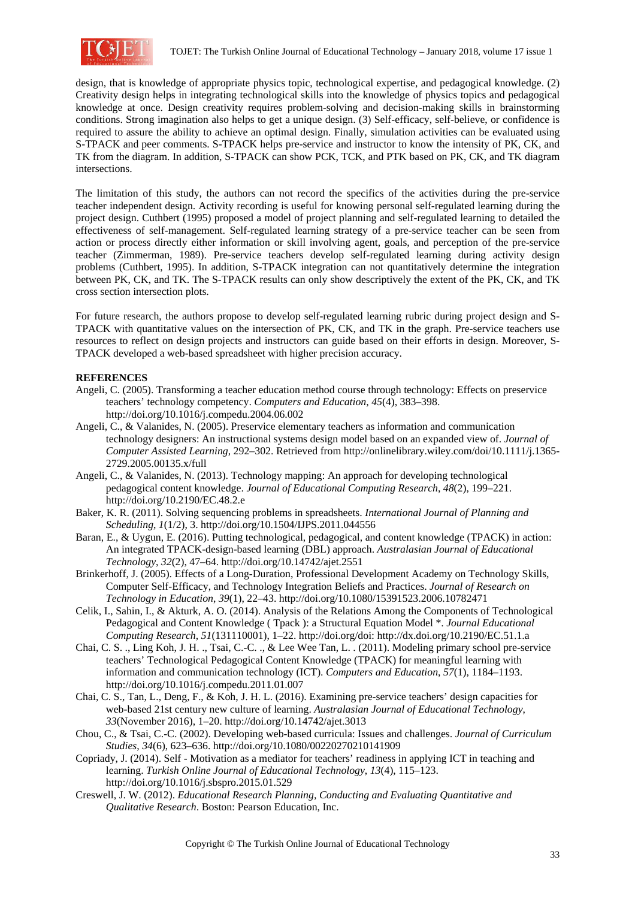

design, that is knowledge of appropriate physics topic, technological expertise, and pedagogical knowledge. (2) Creativity design helps in integrating technological skills into the knowledge of physics topics and pedagogical knowledge at once. Design creativity requires problem-solving and decision-making skills in brainstorming conditions. Strong imagination also helps to get a unique design. (3) Self-efficacy, self-believe, or confidence is required to assure the ability to achieve an optimal design. Finally, simulation activities can be evaluated using S-TPACK and peer comments. S-TPACK helps pre-service and instructor to know the intensity of PK, CK, and TK from the diagram. In addition, S-TPACK can show PCK, TCK, and PTK based on PK, CK, and TK diagram intersections.

The limitation of this study, the authors can not record the specifics of the activities during the pre-service teacher independent design. Activity recording is useful for knowing personal self-regulated learning during the project design. Cuthbert (1995) proposed a model of project planning and self-regulated learning to detailed the effectiveness of self-management. Self-regulated learning strategy of a pre-service teacher can be seen from action or process directly either information or skill involving agent, goals, and perception of the pre-service teacher (Zimmerman, 1989). Pre-service teachers develop self-regulated learning during activity design problems (Cuthbert, 1995). In addition, S-TPACK integration can not quantitatively determine the integration between PK, CK, and TK. The S-TPACK results can only show descriptively the extent of the PK, CK, and TK cross section intersection plots.

For future research, the authors propose to develop self-regulated learning rubric during project design and S-TPACK with quantitative values on the intersection of PK, CK, and TK in the graph. Pre-service teachers use resources to reflect on design projects and instructors can guide based on their efforts in design. Moreover, S-TPACK developed a web-based spreadsheet with higher precision accuracy.

# **REFERENCES**

- Angeli, C. (2005). Transforming a teacher education method course through technology: Effects on preservice teachers' technology competency. *Computers and Education*, *45*(4), 383–398. http://doi.org/10.1016/j.compedu.2004.06.002
- Angeli, C., & Valanides, N. (2005). Preservice elementary teachers as information and communication technology designers: An instructional systems design model based on an expanded view of. *Journal of Computer Assisted Learning*, 292–302. Retrieved from http://onlinelibrary.wiley.com/doi/10.1111/j.1365- 2729.2005.00135.x/full
- Angeli, C., & Valanides, N. (2013). Technology mapping: An approach for developing technological pedagogical content knowledge. *Journal of Educational Computing Research*, *48*(2), 199–221. http://doi.org/10.2190/EC.48.2.e
- Baker, K. R. (2011). Solving sequencing problems in spreadsheets. *International Journal of Planning and Scheduling*, *1*(1/2), 3. http://doi.org/10.1504/IJPS.2011.044556
- Baran, E., & Uygun, E. (2016). Putting technological, pedagogical, and content knowledge (TPACK) in action: An integrated TPACK-design-based learning (DBL) approach. *Australasian Journal of Educational Technology*, *32*(2), 47–64. http://doi.org/10.14742/ajet.2551
- Brinkerhoff, J. (2005). Effects of a Long-Duration, Professional Development Academy on Technology Skills, Computer Self-Efficacy, and Technology Integration Beliefs and Practices. *Journal of Research on Technology in Education*, *39*(1), 22–43. http://doi.org/10.1080/15391523.2006.10782471
- Celik, I., Sahin, I., & Akturk, A. O. (2014). Analysis of the Relations Among the Components of Technological Pedagogical and Content Knowledge ( Tpack ): a Structural Equation Model \*. *Journal Educational Computing Research*, *51*(131110001), 1–22. http://doi.org/doi: http://dx.doi.org/10.2190/EC.51.1.a
- Chai, C. S. ., Ling Koh, J. H. ., Tsai, C.-C. ., & Lee Wee Tan, L. . (2011). Modeling primary school pre-service teachers' Technological Pedagogical Content Knowledge (TPACK) for meaningful learning with information and communication technology (ICT). *Computers and Education*, *57*(1), 1184–1193. http://doi.org/10.1016/j.compedu.2011.01.007
- Chai, C. S., Tan, L., Deng, F., & Koh, J. H. L. (2016). Examining pre-service teachers' design capacities for web-based 21st century new culture of learning. *Australasian Journal of Educational Technology*, *33*(November 2016), 1–20. http://doi.org/10.14742/ajet.3013
- Chou, C., & Tsai, C.-C. (2002). Developing web-based curricula: Issues and challenges. *Journal of Curriculum Studies*, *34*(6), 623–636. http://doi.org/10.1080/00220270210141909
- Copriady, J. (2014). Self Motivation as a mediator for teachers' readiness in applying ICT in teaching and learning. *Turkish Online Journal of Educational Technology*, *13*(4), 115–123. http://doi.org/10.1016/j.sbspro.2015.01.529
- Creswell, J. W. (2012). *Educational Research Planning, Conducting and Evaluating Quantitative and Qualitative Research*. Boston: Pearson Education, Inc.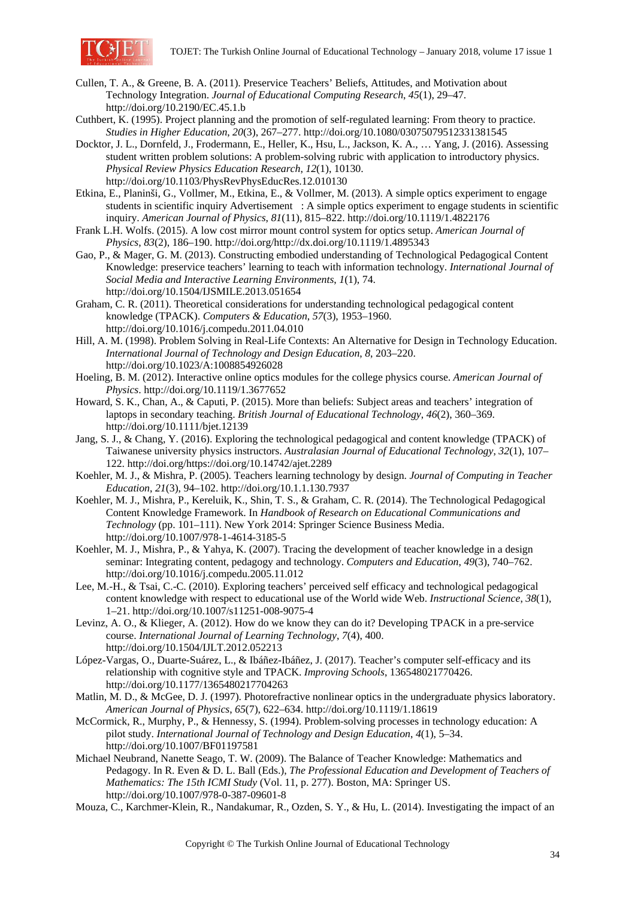

- Cullen, T. A., & Greene, B. A. (2011). Preservice Teachers' Beliefs, Attitudes, and Motivation about Technology Integration. *Journal of Educational Computing Research*, *45*(1), 29–47. http://doi.org/10.2190/EC.45.1.b
- Cuthbert, K. (1995). Project planning and the promotion of self-regulated learning: From theory to practice. *Studies in Higher Education*, *20*(3), 267–277. http://doi.org/10.1080/03075079512331381545
- Docktor, J. L., Dornfeld, J., Frodermann, E., Heller, K., Hsu, L., Jackson, K. A., … Yang, J. (2016). Assessing student written problem solutions: A problem-solving rubric with application to introductory physics. *Physical Review Physics Education Research*, *12*(1), 10130. http://doi.org/10.1103/PhysRevPhysEducRes.12.010130
- Etkina, E., Planinši, G., Vollmer, M., Etkina, E., & Vollmer, M. (2013). A simple optics experiment to engage students in scientific inquiry Advertisement: A simple optics experiment to engage students in scientific inquiry. *American Journal of Physics*, *81*(11), 815–822. http://doi.org/10.1119/1.4822176
- Frank L.H. Wolfs. (2015). A low cost mirror mount control system for optics setup. *American Journal of Physics*, *83*(2), 186–190. http://doi.org/http://dx.doi.org/10.1119/1.4895343
- Gao, P., & Mager, G. M. (2013). Constructing embodied understanding of Technological Pedagogical Content Knowledge: preservice teachers' learning to teach with information technology. *International Journal of Social Media and Interactive Learning Environments*, *1*(1), 74. http://doi.org/10.1504/IJSMILE.2013.051654
- Graham, C. R. (2011). Theoretical considerations for understanding technological pedagogical content knowledge (TPACK). *Computers & Education*, *57*(3), 1953–1960. http://doi.org/10.1016/j.compedu.2011.04.010
- Hill, A. M. (1998). Problem Solving in Real-Life Contexts: An Alternative for Design in Technology Education. *International Journal of Technology and Design Education*, *8*, 203–220. http://doi.org/10.1023/A:1008854926028
- Hoeling, B. M. (2012). Interactive online optics modules for the college physics course. *American Journal of Physics*. http://doi.org/10.1119/1.3677652
- Howard, S. K., Chan, A., & Caputi, P. (2015). More than beliefs: Subject areas and teachers' integration of laptops in secondary teaching. *British Journal of Educational Technology*, *46*(2), 360–369. http://doi.org/10.1111/bjet.12139
- Jang, S. J., & Chang, Y. (2016). Exploring the technological pedagogical and content knowledge (TPACK) of Taiwanese university physics instructors. *Australasian Journal of Educational Technology*, *32*(1), 107– 122. http://doi.org/https://doi.org/10.14742/ajet.2289
- Koehler, M. J., & Mishra, P. (2005). Teachers learning technology by design. *Journal of Computing in Teacher Education*, *21*(3), 94–102. http://doi.org/10.1.1.130.7937
- Koehler, M. J., Mishra, P., Kereluik, K., Shin, T. S., & Graham, C. R. (2014). The Technological Pedagogical Content Knowledge Framework. In *Handbook of Research on Educational Communications and Technology* (pp. 101–111). New York 2014: Springer Science Business Media. http://doi.org/10.1007/978-1-4614-3185-5
- Koehler, M. J., Mishra, P., & Yahya, K. (2007). Tracing the development of teacher knowledge in a design seminar: Integrating content, pedagogy and technology. *Computers and Education*, *49*(3), 740–762. http://doi.org/10.1016/j.compedu.2005.11.012
- Lee, M.-H., & Tsai, C.-C. (2010). Exploring teachers' perceived self efficacy and technological pedagogical content knowledge with respect to educational use of the World wide Web. *Instructional Science*, *38*(1), 1–21. http://doi.org/10.1007/s11251-008-9075-4
- Levinz, A. O., & Klieger, A. (2012). How do we know they can do it? Developing TPACK in a pre-service course. *International Journal of Learning Technology*, *7*(4), 400. http://doi.org/10.1504/IJLT.2012.052213
- López-Vargas, O., Duarte-Suárez, L., & Ibáñez-Ibáñez, J. (2017). Teacher's computer self-efficacy and its relationship with cognitive style and TPACK. *Improving Schools*, 136548021770426. http://doi.org/10.1177/1365480217704263
- Matlin, M. D., & McGee, D. J. (1997). Photorefractive nonlinear optics in the undergraduate physics laboratory. *American Journal of Physics*, *65*(7), 622–634. http://doi.org/10.1119/1.18619
- McCormick, R., Murphy, P., & Hennessy, S. (1994). Problem-solving processes in technology education: A pilot study. *International Journal of Technology and Design Education*, *4*(1), 5–34. http://doi.org/10.1007/BF01197581
- Michael Neubrand, Nanette Seago, T. W. (2009). The Balance of Teacher Knowledge: Mathematics and Pedagogy. In R. Even & D. L. Ball (Eds.), *The Professional Education and Development of Teachers of Mathematics: The 15th ICMI Study* (Vol. 11, p. 277). Boston, MA: Springer US. http://doi.org/10.1007/978-0-387-09601-8
- Mouza, C., Karchmer-Klein, R., Nandakumar, R., Ozden, S. Y., & Hu, L. (2014). Investigating the impact of an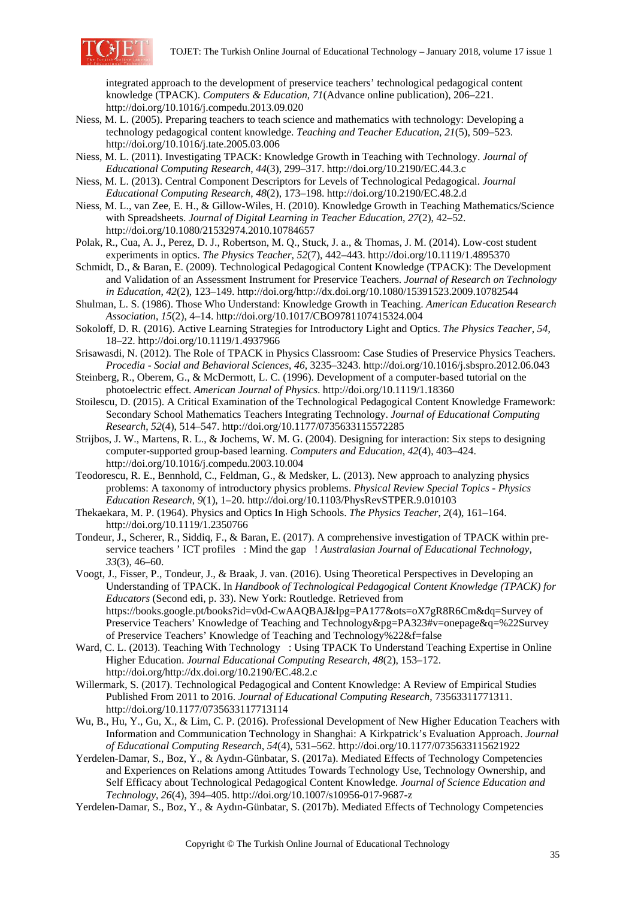

integrated approach to the development of preservice teachers' technological pedagogical content knowledge (TPACK). *Computers & Education*, *71*(Advance online publication), 206–221. http://doi.org/10.1016/j.compedu.2013.09.020

- Niess, M. L. (2005). Preparing teachers to teach science and mathematics with technology: Developing a technology pedagogical content knowledge. *Teaching and Teacher Education*, *21*(5), 509–523. http://doi.org/10.1016/j.tate.2005.03.006
- Niess, M. L. (2011). Investigating TPACK: Knowledge Growth in Teaching with Technology. *Journal of Educational Computing Research*, *44*(3), 299–317. http://doi.org/10.2190/EC.44.3.c
- Niess, M. L. (2013). Central Component Descriptors for Levels of Technological Pedagogical. *Journal Educational Computing Research*, *48*(2), 173–198. http://doi.org/10.2190/EC.48.2.d
- Niess, M. L., van Zee, E. H., & Gillow-Wiles, H. (2010). Knowledge Growth in Teaching Mathematics/Science with Spreadsheets. *Journal of Digital Learning in Teacher Education*, *27*(2), 42–52. http://doi.org/10.1080/21532974.2010.10784657
- Polak, R., Cua, A. J., Perez, D. J., Robertson, M. Q., Stuck, J. a., & Thomas, J. M. (2014). Low-cost student experiments in optics. *The Physics Teacher*, *52*(7), 442–443. http://doi.org/10.1119/1.4895370
- Schmidt, D., & Baran, E. (2009). Technological Pedagogical Content Knowledge (TPACK): The Development and Validation of an Assessment Instrument for Preservice Teachers. *Journal of Research on Technology in Education*, *42*(2), 123–149. http://doi.org/http://dx.doi.org/10.1080/15391523.2009.10782544
- Shulman, L. S. (1986). Those Who Understand: Knowledge Growth in Teaching. *American Education Research Association*, *15*(2), 4–14. http://doi.org/10.1017/CBO9781107415324.004
- Sokoloff, D. R. (2016). Active Learning Strategies for Introductory Light and Optics. *The Physics Teacher*, *54*, 18–22. http://doi.org/10.1119/1.4937966
- Srisawasdi, N. (2012). The Role of TPACK in Physics Classroom: Case Studies of Preservice Physics Teachers. *Procedia - Social and Behavioral Sciences*, *46*, 3235–3243. http://doi.org/10.1016/j.sbspro.2012.06.043
- Steinberg, R., Oberem, G., & McDermott, L. C. (1996). Development of a computer-based tutorial on the photoelectric effect. *American Journal of Physics*. http://doi.org/10.1119/1.18360
- Stoilescu, D. (2015). A Critical Examination of the Technological Pedagogical Content Knowledge Framework: Secondary School Mathematics Teachers Integrating Technology. *Journal of Educational Computing Research*, *52*(4), 514–547. http://doi.org/10.1177/0735633115572285
- Strijbos, J. W., Martens, R. L., & Jochems, W. M. G. (2004). Designing for interaction: Six steps to designing computer-supported group-based learning. *Computers and Education*, *42*(4), 403–424. http://doi.org/10.1016/j.compedu.2003.10.004
- Teodorescu, R. E., Bennhold, C., Feldman, G., & Medsker, L. (2013). New approach to analyzing physics problems: A taxonomy of introductory physics problems. *Physical Review Special Topics - Physics Education Research*, *9*(1), 1–20. http://doi.org/10.1103/PhysRevSTPER.9.010103
- Thekaekara, M. P. (1964). Physics and Optics In High Schools. *The Physics Teacher*, *2*(4), 161–164. http://doi.org/10.1119/1.2350766
- Tondeur, J., Scherer, R., Siddiq, F., & Baran, E. (2017). A comprehensive investigation of TPACK within preservice teachers ' ICT profiles : Mind the gap ! *Australasian Journal of Educational Technology*, *33*(3), 46–60.
- Voogt, J., Fisser, P., Tondeur, J., & Braak, J. van. (2016). Using Theoretical Perspectives in Developing an Understanding of TPACK. In *Handbook of Technological Pedagogical Content Knowledge (TPACK) for Educators* (Second edi, p. 33). New York: Routledge. Retrieved from https://books.google.pt/books?id=v0d-CwAAQBAJ&lpg=PA177&ots=oX7gR8R6Cm&dq=Survey of Preservice Teachers' Knowledge of Teaching and Technology &pg=PA323#v=onepage&q=%22Survey of Preservice Teachers' Knowledge of Teaching and Technology%22&f=false
- Ward, C. L. (2013). Teaching With Technology : Using TPACK To Understand Teaching Expertise in Online Higher Education. *Journal Educational Computing Research*, *48*(2), 153–172. http://doi.org/http://dx.doi.org/10.2190/EC.48.2.c
- Willermark, S. (2017). Technological Pedagogical and Content Knowledge: A Review of Empirical Studies Published From 2011 to 2016. *Journal of Educational Computing Research*, 73563311771311. http://doi.org/10.1177/0735633117713114
- Wu, B., Hu, Y., Gu, X., & Lim, C. P. (2016). Professional Development of New Higher Education Teachers with Information and Communication Technology in Shanghai: A Kirkpatrick's Evaluation Approach. *Journal of Educational Computing Research*, *54*(4), 531–562. http://doi.org/10.1177/0735633115621922
- Yerdelen-Damar, S., Boz, Y., & Aydın-Günbatar, S. (2017a). Mediated Effects of Technology Competencies and Experiences on Relations among Attitudes Towards Technology Use, Technology Ownership, and Self Efficacy about Technological Pedagogical Content Knowledge. *Journal of Science Education and Technology*, *26*(4), 394–405. http://doi.org/10.1007/s10956-017-9687-z
- Yerdelen-Damar, S., Boz, Y., & Aydın-Günbatar, S. (2017b). Mediated Effects of Technology Competencies